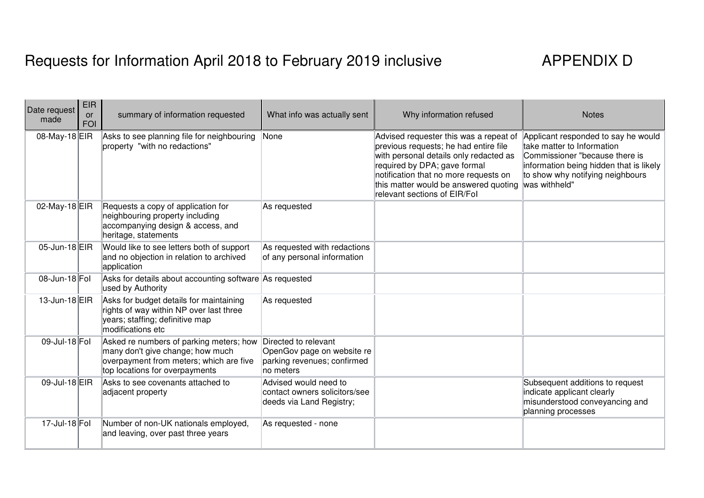## Requests for Information April 2018 to February 2019 inclusive **APPENDIX D**

| Date request<br>made | <b>EIR</b><br><b>or</b><br><b>FOI</b> | summary of information requested                                                                                                                                              | What info was actually sent                                                        | Why information refused                                                                                                                                                                                                                                                     | <b>Notes</b>                                                                                                                                                                                        |
|----------------------|---------------------------------------|-------------------------------------------------------------------------------------------------------------------------------------------------------------------------------|------------------------------------------------------------------------------------|-----------------------------------------------------------------------------------------------------------------------------------------------------------------------------------------------------------------------------------------------------------------------------|-----------------------------------------------------------------------------------------------------------------------------------------------------------------------------------------------------|
| 08-May-18 $EIR$      |                                       | Asks to see planning file for neighbouring<br>property "with no redactions"                                                                                                   | None                                                                               | Advised requester this was a repeat of<br>previous requests; he had entire file<br>with personal details only redacted as<br>required by DPA; gave formal<br>notification that no more requests on<br>this matter would be answered quoting<br>relevant sections of EIR/Fol | Applicant responded to say he would<br>take matter to Information<br>Commissioner "because there is<br>information being hidden that is likely<br>to show why notifying neighbours<br>was withheld" |
| 02-May-18 $EIR$      |                                       | Requests a copy of application for<br>neighbouring property including<br>accompanying design & access, and<br>heritage, statements                                            | As requested                                                                       |                                                                                                                                                                                                                                                                             |                                                                                                                                                                                                     |
| 05-Jun-18 EIR        |                                       | Would like to see letters both of support<br>and no objection in relation to archived<br>application                                                                          | As requested with redactions<br>of any personal information                        |                                                                                                                                                                                                                                                                             |                                                                                                                                                                                                     |
| 08-Jun-18 Fol        |                                       | Asks for details about accounting software As requested<br>used by Authority                                                                                                  |                                                                                    |                                                                                                                                                                                                                                                                             |                                                                                                                                                                                                     |
| $13$ -Jun-18 $EIR$   |                                       | Asks for budget details for maintaining<br>rights of way within NP over last three<br>years; staffing; definitive map<br>modifications etc                                    | As requested                                                                       |                                                                                                                                                                                                                                                                             |                                                                                                                                                                                                     |
| 09-Jul-18 Fol        |                                       | Asked re numbers of parking meters; how Directed to relevant<br>many don't give change; how much<br>overpayment from meters; which are five<br>top locations for overpayments | OpenGov page on website re<br>parking revenues; confirmed<br>no meters             |                                                                                                                                                                                                                                                                             |                                                                                                                                                                                                     |
| 09-Jul-18 EIR        |                                       | Asks to see covenants attached to<br>adjacent property                                                                                                                        | Advised would need to<br>contact owners solicitors/see<br>deeds via Land Registry; |                                                                                                                                                                                                                                                                             | Subsequent additions to request<br>indicate applicant clearly<br>misunderstood conveyancing and<br>planning processes                                                                               |
| 17-Jul-18 Fol        |                                       | Number of non-UK nationals employed,<br>and leaving, over past three years                                                                                                    | As requested - none                                                                |                                                                                                                                                                                                                                                                             |                                                                                                                                                                                                     |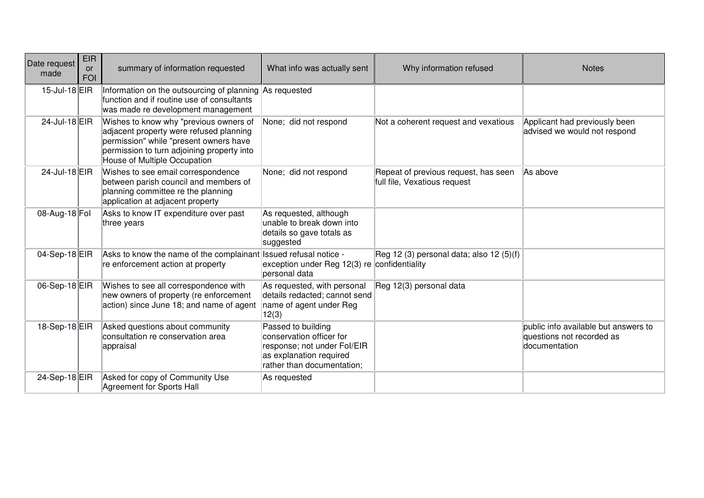| Date request<br>made | <b>EIR</b><br><b>or</b><br><b>FOI</b> | summary of information requested                                                                                                                                                                          | What info was actually sent                                                                                                            | Why information refused                                              | <b>Notes</b>                                                                              |
|----------------------|---------------------------------------|-----------------------------------------------------------------------------------------------------------------------------------------------------------------------------------------------------------|----------------------------------------------------------------------------------------------------------------------------------------|----------------------------------------------------------------------|-------------------------------------------------------------------------------------------|
| 15-Jul-18 EIR        |                                       | Information on the outsourcing of planning As requested<br>function and if routine use of consultants<br>was made re development management                                                               |                                                                                                                                        |                                                                      |                                                                                           |
| 24-Jul-18 EIR        |                                       | Wishes to know why "previous owners of<br>adjacent property were refused planning<br>permission" while "present owners have<br>permission to turn adjoining property into<br>House of Multiple Occupation | None; did not respond                                                                                                                  | Not a coherent request and vexatious                                 | Applicant had previously been<br>advised we would not respond                             |
| 24-Jul-18 EIR        |                                       | Wishes to see email correspondence<br>between parish council and members of<br>planning committee re the planning<br>application at adjacent property                                                     | None; did not respond                                                                                                                  | Repeat of previous request, has seen<br>full file, Vexatious request | As above                                                                                  |
| 08-Aug-18 Fol        |                                       | Asks to know IT expenditure over past<br>three years                                                                                                                                                      | As requested, although<br>unable to break down into<br>details so gave totals as<br>suggested                                          |                                                                      |                                                                                           |
| $04-Sep-18$ EIR      |                                       | Asks to know the name of the complainant Issued refusal notice -<br>re enforcement action at property                                                                                                     | exception under Reg 12(3) re confidentiality<br>personal data                                                                          | Reg 12 (3) personal data; also 12 (5)(f)                             |                                                                                           |
| 06-Sep-18 EIR        |                                       | Wishes to see all correspondence with<br>new owners of property (re enforcement<br>action) since June 18; and name of agent                                                                               | As requested, with personal<br>details redacted; cannot send<br>name of agent under Reg<br>12(3)                                       | Reg 12(3) personal data                                              |                                                                                           |
| 18-Sep-18 EIR        |                                       | Asked questions about community<br>consultation re conservation area<br>appraisal                                                                                                                         | Passed to building<br>conservation officer for<br>response; not under Fol/EIR<br>as explanation required<br>rather than documentation; |                                                                      | public info available but answers to<br>questions not recorded as<br><b>documentation</b> |
| 24-Sep-18 EIR        |                                       | Asked for copy of Community Use<br>Agreement for Sports Hall                                                                                                                                              | As requested                                                                                                                           |                                                                      |                                                                                           |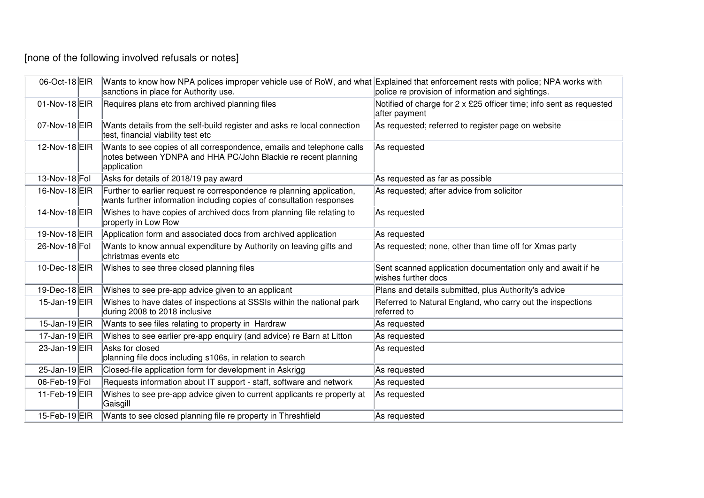## [none of the following involved refusals or notes]

| 06-Oct-18 EIR      | Wants to know how NPA polices improper vehicle use of RoW, and what Explained that enforcement rests with police; NPA works with                       |                                                                                    |
|--------------------|--------------------------------------------------------------------------------------------------------------------------------------------------------|------------------------------------------------------------------------------------|
|                    | sanctions in place for Authority use.                                                                                                                  | police re provision of information and sightings.                                  |
| 01-Nov-18 EIR      | Requires plans etc from archived planning files                                                                                                        | Notified of charge for 2 x £25 officer time; info sent as requested                |
|                    |                                                                                                                                                        | after payment                                                                      |
| 07-Nov-18 EIR      | Wants details from the self-build register and asks re local connection<br>test, financial viability test etc                                          | As requested; referred to register page on website                                 |
| 12-Nov-18 EIR      | Wants to see copies of all correspondence, emails and telephone calls<br>notes between YDNPA and HHA PC/John Blackie re recent planning<br>application | As requested                                                                       |
| $13-Nov-18$ Fol    | Asks for details of 2018/19 pay award                                                                                                                  | As requested as far as possible                                                    |
| 16-Nov-18 EIR      | Further to earlier request re correspondence re planning application,<br>wants further information including copies of consultation responses          | As requested; after advice from solicitor                                          |
| 14-Nov-18 EIR      | Wishes to have copies of archived docs from planning file relating to<br>property in Low Row                                                           | As requested                                                                       |
| 19-Nov-18 EIR      | Application form and associated docs from archived application                                                                                         | As requested                                                                       |
| 26-Nov-18 Fol      | Wants to know annual expenditure by Authority on leaving gifts and<br>christmas events etc                                                             | As requested; none, other than time off for Xmas party                             |
| $10$ -Dec-18 $EIR$ | Wishes to see three closed planning files                                                                                                              | Sent scanned application documentation only and await if he<br>wishes further docs |
| 19-Dec-18 EIR      | Wishes to see pre-app advice given to an applicant                                                                                                     | Plans and details submitted, plus Authority's advice                               |
| 15-Jan-19 $EIR$    | Wishes to have dates of inspections at SSSIs within the national park<br>during 2008 to 2018 inclusive                                                 | Referred to Natural England, who carry out the inspections<br>referred to          |
| 15-Jan-19 $EIR$    | Wants to see files relating to property in Hardraw                                                                                                     | As requested                                                                       |
| 17-Jan-19 $EIR$    | Wishes to see earlier pre-app enquiry (and advice) re Barn at Litton                                                                                   | As requested                                                                       |
| 23-Jan-19 EIR      | Asks for closed<br>planning file docs including s106s, in relation to search                                                                           | As requested                                                                       |
| 25-Jan-19 EIR      | Closed-file application form for development in Askrigg                                                                                                | As requested                                                                       |
| 06-Feb-19 Fol      | Requests information about IT support - staff, software and network                                                                                    | As requested                                                                       |
| 11-Feb-19 $EIR$    | Wishes to see pre-app advice given to current applicants re property at<br>Gaisgill                                                                    | As requested                                                                       |
| 15-Feb-19 $EIR$    | Wants to see closed planning file re property in Threshfield                                                                                           | As requested                                                                       |